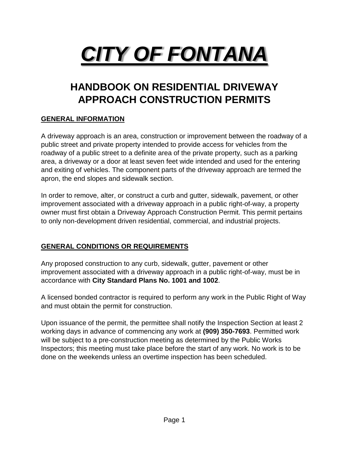# *CITY OF FONTANA*

# **HANDBOOK ON RESIDENTIAL DRIVEWAY APPROACH CONSTRUCTION PERMITS**

#### **GENERAL INFORMATION**

A driveway approach is an area, construction or improvement between the roadway of a public street and private property intended to provide access for vehicles from the roadway of a public street to a definite area of the private property, such as a parking area, a driveway or a door at least seven feet wide intended and used for the entering and exiting of vehicles. The component parts of the driveway approach are termed the apron, the end slopes and sidewalk section.

In order to remove, alter, or construct a curb and gutter, sidewalk, pavement, or other improvement associated with a driveway approach in a public right-of-way, a property owner must first obtain a Driveway Approach Construction Permit. This permit pertains to only non-development driven residential, commercial, and industrial projects.

#### **GENERAL CONDITIONS OR REQUIREMENTS**

Any proposed construction to any curb, sidewalk, gutter, pavement or other improvement associated with a driveway approach in a public right-of-way, must be in accordance with **City Standard Plans No. 1001 and 1002**.

A licensed bonded contractor is required to perform any work in the Public Right of Way and must obtain the permit for construction.

Upon issuance of the permit, the permittee shall notify the Inspection Section at least 2 working days in advance of commencing any work at **(909) 350-7693**. Permitted work will be subject to a pre-construction meeting as determined by the Public Works Inspectors; this meeting must take place before the start of any work. No work is to be done on the weekends unless an overtime inspection has been scheduled.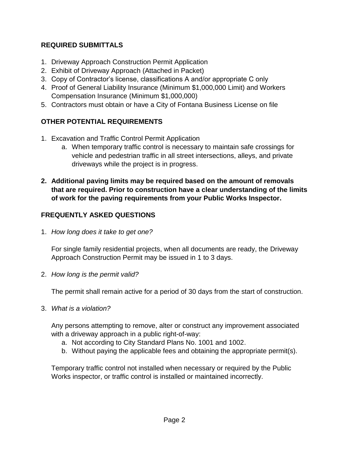#### **REQUIRED SUBMITTALS**

- 1. Driveway Approach Construction Permit Application
- 2. Exhibit of Driveway Approach (Attached in Packet)
- 3. Copy of Contractor's license, classifications A and/or appropriate C only
- 4. Proof of General Liability Insurance (Minimum \$1,000,000 Limit) and Workers Compensation Insurance (Minimum \$1,000,000)
- 5. Contractors must obtain or have a City of Fontana Business License on file

## **OTHER POTENTIAL REQUIREMENTS**

- 1. Excavation and Traffic Control Permit Application
	- a. When temporary traffic control is necessary to maintain safe crossings for vehicle and pedestrian traffic in all street intersections, alleys, and private driveways while the project is in progress.
- **2. Additional paving limits may be required based on the amount of removals that are required. Prior to construction have a clear understanding of the limits of work for the paving requirements from your Public Works Inspector.**

## **FREQUENTLY ASKED QUESTIONS**

1. *How long does it take to get one?*

For single family residential projects, when all documents are ready, the Driveway Approach Construction Permit may be issued in 1 to 3 days.

2. *How long is the permit valid?*

The permit shall remain active for a period of 30 days from the start of construction.

3. *What is a violation?*

Any persons attempting to remove, alter or construct any improvement associated with a driveway approach in a public right-of-way:

- a. Not according to City Standard Plans No. 1001 and 1002.
- b. Without paying the applicable fees and obtaining the appropriate permit(s).

Temporary traffic control not installed when necessary or required by the Public Works inspector, or traffic control is installed or maintained incorrectly.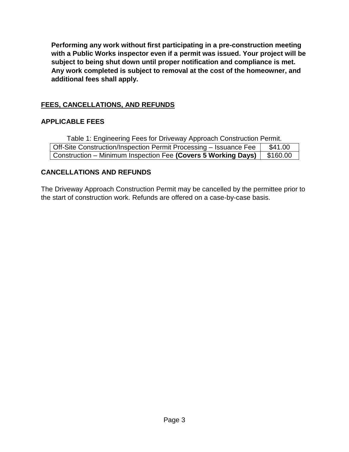**Performing any work without first participating in a pre-construction meeting with a Public Works inspector even if a permit was issued. Your project will be subject to being shut down until proper notification and compliance is met. Any work completed is subject to removal at the cost of the homeowner, and additional fees shall apply.** 

#### **FEES, CANCELLATIONS, AND REFUNDS**

#### **APPLICABLE FEES**

Table 1: Engineering Fees for Driveway Approach Construction Permit. Off-Site Construction/Inspection Permit Processing – Issuance Fee | \$41.00 Construction – Minimum Inspection Fee (Covers 5 Working Days) | \$160.00

#### **CANCELLATIONS AND REFUNDS**

The Driveway Approach Construction Permit may be cancelled by the permittee prior to the start of construction work. Refunds are offered on a case-by-case basis.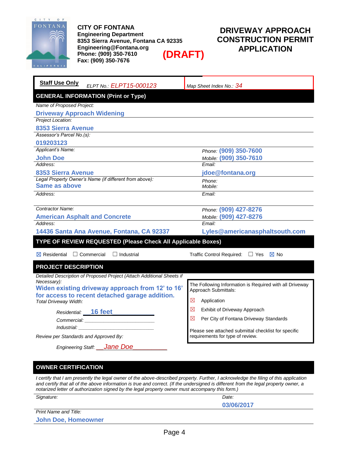

**CITY OF FONTANA Engineering Department 8353 Sierra Avenue, Fontana CA 92335 Engineering@Fontana.org Phone: (909) 350-7610 Fax: (909) 350-7676 (DRAFT)**

## **DRIVEWAY APPROACH CONSTRUCTION PERMIT APPLICATION**

| <b>Staff Use Only</b><br>ELPT No.: ELPT15-000123                      | Map Sheet Index No.: 34                                 |  |  |
|-----------------------------------------------------------------------|---------------------------------------------------------|--|--|
| <b>GENERAL INFORMATION (Print or Type)</b>                            |                                                         |  |  |
| Name of Proposed Project:                                             |                                                         |  |  |
| <b>Driveway Approach Widening</b>                                     |                                                         |  |  |
| Project Location:                                                     |                                                         |  |  |
| 8353 Sierra Avenue                                                    |                                                         |  |  |
| Assessor's Parcel No.(s):                                             |                                                         |  |  |
| 019203123                                                             |                                                         |  |  |
| Applicant's Name:                                                     | Phone: (909) 350-7600                                   |  |  |
| <b>John Doe</b>                                                       | Mobile: (909) 350-7610                                  |  |  |
| Address:                                                              | Email:                                                  |  |  |
| <b>8353 Sierra Avenue</b>                                             | jdoe@fontana.org                                        |  |  |
| Legal Property Owner's Name (if different from above):                | Phone:                                                  |  |  |
| <b>Same as above</b>                                                  | Mobile:                                                 |  |  |
| Address:                                                              | Email:                                                  |  |  |
| Contractor Name:                                                      |                                                         |  |  |
|                                                                       | Phone: (909) 427-8276                                   |  |  |
| <b>American Asphalt and Concrete</b><br>Address:                      | Mobile: (909) 427-8276<br>Email:                        |  |  |
|                                                                       |                                                         |  |  |
| 14436 Santa Ana Avenue, Fontana, CA 92337                             | Lyles@americanasphaltsouth.com                          |  |  |
| TYPE OF REVIEW REQUESTED (Please Check All Applicable Boxes)          |                                                         |  |  |
| <b>X</b> Residential<br>$\Box$ Industrial<br>$\Box$ Commercial        | $\boxtimes$ No<br>Traffic Control Required: □ Yes       |  |  |
| <b>PROJECT DESCRIPTION</b>                                            |                                                         |  |  |
| Detailed Description of Proposed Project (Attach Additional Sheets if |                                                         |  |  |
| Necessary):                                                           | The Following Information is Required with all Driveway |  |  |
| Widen existing driveway approach from 12' to 16'                      | Approach Submittals:                                    |  |  |
| for access to recent detached garage addition.                        | ⊠<br>Application                                        |  |  |
| Total Driveway Width:                                                 |                                                         |  |  |
| Residential: 16 feet                                                  | ⊠<br>Exhibit of Driveway Approach                       |  |  |
|                                                                       | ⊠<br>Per City of Fontana Driveway Standards             |  |  |
| <i>Industrial:</i>                                                    | Please see attached submittal checklist for specific    |  |  |
| Review per Standards and Approved By:                                 | requirements for type of review.                        |  |  |

# **OWNER CERTIFICATION**

*Engineering Staff: \_\_Jane Doe\_\_\_\_\_\_\_\_\_*

*I certify that I am presently the legal owner of the above-described property. Further, I acknowledge the filing of this application and certify that all of the above information is true and correct. (If the undersigned is different from the legal property owner, a notarized letter of authorization signed by the legal property owner must accompany this form.)*

| Signature:            | Date:      |
|-----------------------|------------|
|                       |            |
|                       | 03/06/2017 |
| Print Name and Title: |            |

|  | <b>John Doe, Homeowner</b> |
|--|----------------------------|
|  |                            |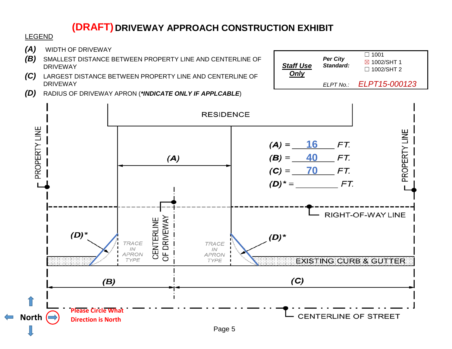# **DRIVEWAY APPROACH CONSTRUCTION EXHIBIT (DRAFT)**

*Staff Use Only*

*Per City Standard:*

 $\square$  1001 ☒ 1002/SHT 1 ☐ 1002/SHT 2

*ELPT No.: ELPT15-000123*

#### LEGEND

- *(A)* WIDTH OF DRIVEWAY
- *(B)* SMALLEST DISTANCE BETWEEN PROPERTY LINE AND CENTERLINE OF DRIVEWAY
- *(C)* LARGEST DISTANCE BETWEEN PROPERTY LINE AND CENTERLINE OF DRIVEWAY
- *(D)* RADIUS OF DRIVEWAY APRON (*\*INDICATE ONLY IF APPLCABLE*)

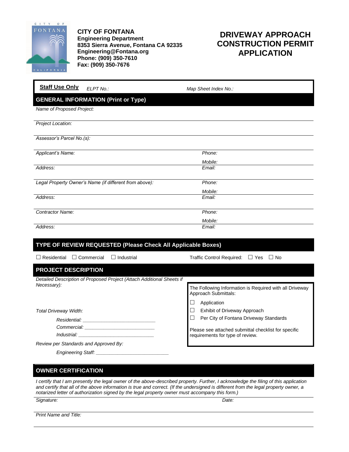

**CITY OF FONTANA Engineering Department 8353 Sierra Avenue, Fontana CA 92335 Engineering@Fontana.org Phone: (909) 350-7610 Fax: (909) 350-7676**

## **DRIVEWAY APPROACH CONSTRUCTION PERMIT APPLICATION**

| <b>Staff Use Only</b><br>ELPT No.:                                                                                                                                                                                             | Map Sheet Index No.:                                                                     |  |  |
|--------------------------------------------------------------------------------------------------------------------------------------------------------------------------------------------------------------------------------|------------------------------------------------------------------------------------------|--|--|
| <b>GENERAL INFORMATION (Print or Type)</b>                                                                                                                                                                                     |                                                                                          |  |  |
| Name of Proposed Project:                                                                                                                                                                                                      |                                                                                          |  |  |
| Project Location:                                                                                                                                                                                                              |                                                                                          |  |  |
| Assessor's Parcel No.(s):                                                                                                                                                                                                      |                                                                                          |  |  |
| Applicant's Name:                                                                                                                                                                                                              | Phone:                                                                                   |  |  |
|                                                                                                                                                                                                                                | Mobile:                                                                                  |  |  |
| Address:                                                                                                                                                                                                                       | Email:                                                                                   |  |  |
| Legal Property Owner's Name (if different from above):                                                                                                                                                                         | Phone:                                                                                   |  |  |
|                                                                                                                                                                                                                                | Mobile:                                                                                  |  |  |
| Address:                                                                                                                                                                                                                       | Email:                                                                                   |  |  |
| <b>Contractor Name:</b>                                                                                                                                                                                                        | Phone:                                                                                   |  |  |
|                                                                                                                                                                                                                                | Mobile:                                                                                  |  |  |
| Address:                                                                                                                                                                                                                       | Email:                                                                                   |  |  |
| TYPE OF REVIEW REQUESTED (Please Check All Applicable Boxes)                                                                                                                                                                   |                                                                                          |  |  |
| $\Box$ Residential<br>$\Box$ Commercial<br>$\Box$ Industrial                                                                                                                                                                   | Traffic Control Required: □ Yes<br>$\Box$ No                                             |  |  |
| PROJECT DESCRIPTION                                                                                                                                                                                                            |                                                                                          |  |  |
| Detailed Description of Proposed Project (Attach Additional Sheets if                                                                                                                                                          |                                                                                          |  |  |
| Necessary):                                                                                                                                                                                                                    | The Following Information is Required with all Driveway<br>Approach Submittals:          |  |  |
|                                                                                                                                                                                                                                | Application<br>⊔                                                                         |  |  |
| Total Driveway Width:                                                                                                                                                                                                          | $\Box$<br>Exhibit of Driveway Approach                                                   |  |  |
| Residential: New York Presidential Services and American Control of the American Control of the American Control of the American Control of the American Control of the American Control of the American Control of the Americ | $\Box$<br>Per City of Fontana Driveway Standards                                         |  |  |
|                                                                                                                                                                                                                                |                                                                                          |  |  |
|                                                                                                                                                                                                                                | Please see attached submittal checklist for specific<br>requirements for type of review. |  |  |
| Review per Standards and Approved By:                                                                                                                                                                                          |                                                                                          |  |  |

*Engineering Staff: \_\_\_\_\_\_\_\_\_\_\_\_\_\_\_\_\_\_\_\_\_\_\_\_\_\_\_*

**OWNER CERTIFICATION**

*I certify that I am presently the legal owner of the above-described property. Further, I acknowledge the filing of this application and certify that all of the above information is true and correct. (If the undersigned is different from the legal property owner, a notarized letter of authorization signed by the legal property owner must accompany this form.)*

*Signature: Date:*

*Print Name and Title:*